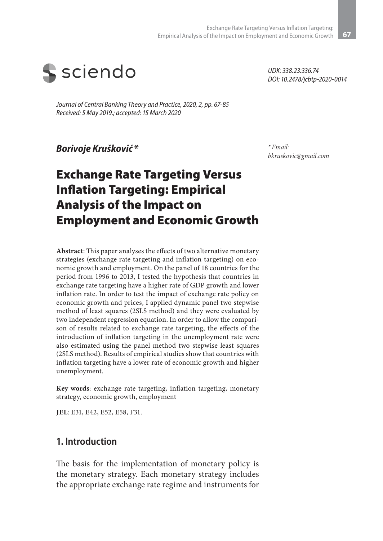

*Journal of Central Banking Theory and Practice, 2020, 2, pp. 67-85 Received: 5 May 2019.; accepted: 15 March 2020* 

*Borivoje Krušković\**

*\* Email: bkruskovic@gmail.com*

*UDK: 338.23:336.74*

*DOI: 10.2478/jcbtp-2020-0014*

# Exchange Rate Targeting Versus Inflation Targeting: Empirical Analysis of the Impact on Employment and Economic Growth

**Abstract**: This paper analyses the effects of two alternative monetary strategies (exchange rate targeting and inflation targeting) on economic growth and employment. On the panel of 18 countries for the period from 1996 to 2013, I tested the hypothesis that countries in exchange rate targeting have a higher rate of GDP growth and lower inflation rate. In order to test the impact of exchange rate policy on economic growth and prices, I applied dynamic panel two stepwise method of least squares (2SLS method) and they were evaluated by two independent regression equation. In order to allow the comparison of results related to exchange rate targeting, the effects of the introduction of inflation targeting in the unemployment rate were also estimated using the panel method two stepwise least squares (2SLS method). Results of empirical studies show that countries with inflation targeting have a lower rate of economic growth and higher unemployment.

**Key words**: exchange rate targeting, inflation targeting, monetary strategy, economic growth, employment

**JEL**: E31, E42, E52, E58, F31.

#### **1. Introduction**

The basis for the implementation of monetary policy is the monetary strategy. Each monetary strategy includes the appropriate exchange rate regime and instruments for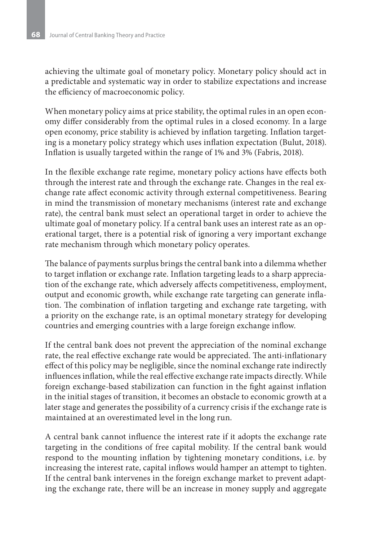achieving the ultimate goal of monetary policy. Monetary policy should act in a predictable and systematic way in order to stabilize expectations and increase the efficiency of macroeconomic policy.

When monetary policy aims at price stability, the optimal rules in an open economy differ considerably from the optimal rules in a closed economy. In a large open economy, price stability is achieved by inflation targeting. Inflation targeting is a monetary policy strategy which uses inflation expectation (Bulut, 2018). Inflation is usually targeted within the range of 1% and 3% (Fabris, 2018).

In the flexible exchange rate regime, monetary policy actions have effects both through the interest rate and through the exchange rate. Changes in the real exchange rate affect economic activity through external competitiveness. Bearing in mind the transmission of monetary mechanisms (interest rate and exchange rate), the central bank must select an operational target in order to achieve the ultimate goal of monetary policy. If a central bank uses an interest rate as an operational target, there is a potential risk of ignoring a very important exchange rate mechanism through which monetary policy operates.

The balance of payments surplus brings the central bank into a dilemma whether to target inflation or exchange rate. Inflation targeting leads to a sharp appreciation of the exchange rate, which adversely affects competitiveness, employment, output and economic growth, while exchange rate targeting can generate inflation. The combination of inflation targeting and exchange rate targeting, with a priority on the exchange rate, is an optimal monetary strategy for developing countries and emerging countries with a large foreign exchange inflow.

If the central bank does not prevent the appreciation of the nominal exchange rate, the real effective exchange rate would be appreciated. The anti-inflationary effect of this policy may be negligible, since the nominal exchange rate indirectly influences inflation, while the real effective exchange rate impacts directly. While foreign exchange-based stabilization can function in the fight against inflation in the initial stages of transition, it becomes an obstacle to economic growth at a later stage and generates the possibility of a currency crisis if the exchange rate is maintained at an overestimated level in the long run.

A central bank cannot influence the interest rate if it adopts the exchange rate targeting in the conditions of free capital mobility. If the central bank would respond to the mounting inflation by tightening monetary conditions, i.e. by increasing the interest rate, capital inflows would hamper an attempt to tighten. If the central bank intervenes in the foreign exchange market to prevent adapting the exchange rate, there will be an increase in money supply and aggregate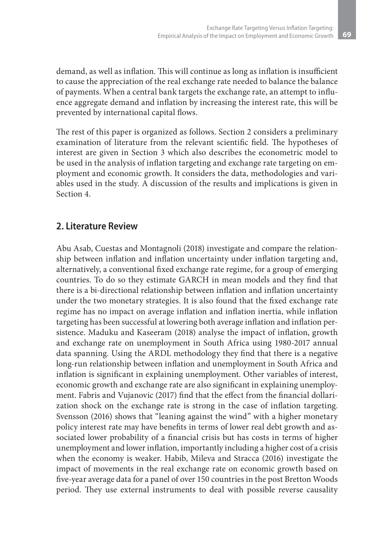demand, as well as inflation. This will continue as long as inflation is insufficient to cause the appreciation of the real exchange rate needed to balance the balance of payments. When a central bank targets the exchange rate, an attempt to influence aggregate demand and inflation by increasing the interest rate, this will be prevented by international capital flows.

The rest of this paper is organized as follows. Section 2 considers a preliminary examination of literature from the relevant scientific field. The hypotheses of interest are given in Section 3 which also describes the econometric model to be used in the analysis of inflation targeting and exchange rate targeting on employment and economic growth. It considers the data, methodologies and variables used in the study. A discussion of the results and implications is given in Section 4.

### **2. Literature Review**

Abu Asab, Cuestas and Montagnoli (2018) investigate and compare the relationship between inflation and inflation uncertainty under inflation targeting and, alternatively, a conventional fixed exchange rate regime, for a group of emerging countries. To do so they estimate GARCH in mean models and they find that there is a bi-directional relationship between inflation and inflation uncertainty under the two monetary strategies. It is also found that the fixed exchange rate regime has no impact on average inflation and inflation inertia, while inflation targeting has been successful at lowering both average inflation and inflation persistence. Maduku and Kaseeram (2018) analyse the impact of inflation, growth and exchange rate on unemployment in South Africa using 1980-2017 annual data spanning. Using the ARDL methodology they find that there is a negative long-run relationship between inflation and unemployment in South Africa and inflation is significant in explaining unemployment. Other variables of interest, economic growth and exchange rate are also significant in explaining unemployment. Fabris and Vujanovic (2017) find that the effect from the financial dollarization shock on the exchange rate is strong in the case of inflation targeting. Svensson (2016) shows that "leaning against the wind" with a higher monetary policy interest rate may have benefits in terms of lower real debt growth and associated lower probability of a financial crisis but has costs in terms of higher unemployment and lower inflation, importantly including a higher cost of a crisis when the economy is weaker. Habib, Mileva and Stracca (2016) investigate the impact of movements in the real exchange rate on economic growth based on five-year average data for a panel of over 150 countries in the post Bretton Woods period. They use external instruments to deal with possible reverse causality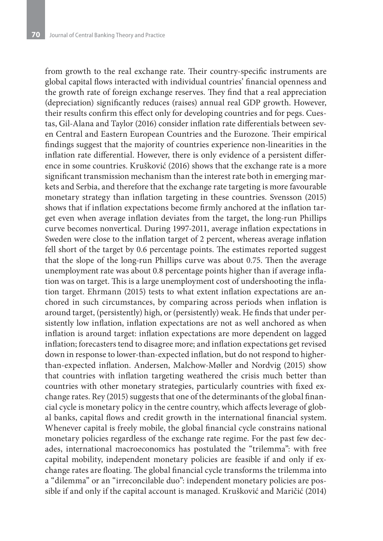from growth to the real exchange rate. Their country-specific instruments are global capital flows interacted with individual countries' financial openness and the growth rate of foreign exchange reserves. They find that a real appreciation (depreciation) significantly reduces (raises) annual real GDP growth. However, their results confirm this effect only for developing countries and for pegs. Cuestas, Gil-Alana and Taylor (2016) consider inflation rate differentials between seven Central and Eastern European Countries and the Eurozone. Their empirical findings suggest that the majority of countries experience non‐linearities in the inflation rate differential. However, there is only evidence of a persistent difference in some countries. Krušković (2016) shows that the exchange rate is a more significant transmission mechanism than the interest rate both in emerging markets and Serbia, and therefore that the exchange rate targeting is more favourable monetary strategy than inflation targeting in these countries. Svensson (2015) shows that if inflation expectations become firmly anchored at the inflation target even when average inflation deviates from the target, the long-run Phillips curve becomes nonvertical. During 1997-2011, average inflation expectations in Sweden were close to the inflation target of 2 percent, whereas average inflation fell short of the target by 0.6 percentage points. The estimates reported suggest that the slope of the long-run Phillips curve was about 0.75. Then the average unemployment rate was about 0.8 percentage points higher than if average inflation was on target. This is a large unemployment cost of undershooting the inflation target. Ehrmann (2015) tests to what extent inflation expectations are anchored in such circumstances, by comparing across periods when inflation is around target, (persistently) high, or (persistently) weak. He finds that under persistently low inflation, inflation expectations are not as well anchored as when inflation is around target: inflation expectations are more dependent on lagged inflation; forecasters tend to disagree more; and inflation expectations get revised down in response to lower-than-expected inflation, but do not respond to higherthan-expected inflation. Andersen, Malchow-Møller and Nordvig (2015) show that countries with inflation targeting weathered the crisis much better than countries with other monetary strategies, particularly countries with fixed exchange rates. Rey (2015) suggests that one of the determinants of the global financial cycle is monetary policy in the centre country, which affects leverage of global banks, capital flows and credit growth in the international financial system. Whenever capital is freely mobile, the global financial cycle constrains national monetary policies regardless of the exchange rate regime. For the past few decades, international macroeconomics has postulated the "trilemma": with free capital mobility, independent monetary policies are feasible if and only if exchange rates are floating. The global financial cycle transforms the trilemma into a "dilemma" or an "irreconcilable duo": independent monetary policies are possible if and only if the capital account is managed. Krušković and Maričić (2014)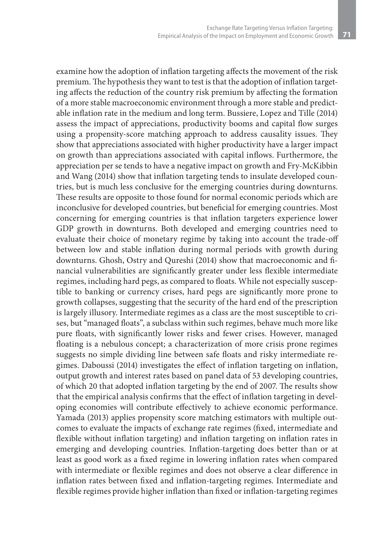examine how the adoption of inflation targeting affects the movement of the risk premium. The hypothesis they want to test is that the adoption of inflation targeting affects the reduction of the country risk premium by affecting the formation of a more stable macroeconomic environment through a more stable and predictable inflation rate in the medium and long term. Bussiere, Lopez and Tille (2014) assess the impact of appreciations, productivity booms and capital flow surges using a propensity-score matching approach to address causality issues. They show that appreciations associated with higher productivity have a larger impact on growth than appreciations associated with capital inflows. Furthermore, the appreciation per se tends to have a negative impact on growth and Fry-McKibbin and Wang (2014) show that inflation targeting tends to insulate developed countries, but is much less conclusive for the emerging countries during downturns. These results are opposite to those found for normal economic periods which are inconclusive for developed countries, but beneficial for emerging countries. Most concerning for emerging countries is that inflation targeters experience lower GDP growth in downturns. Both developed and emerging countries need to evaluate their choice of monetary regime by taking into account the trade-off between low and stable inflation during normal periods with growth during downturns. Ghosh, Ostry and Qureshi (2014) show that macroeconomic and financial vulnerabilities are significantly greater under less flexible intermediate regimes, including hard pegs, as compared to floats. While not especially susceptible to banking or currency crises, hard pegs are significantly more prone to growth collapses, suggesting that the security of the hard end of the prescription is largely illusory. Intermediate regimes as a class are the most susceptible to crises, but "managed floats", a subclass within such regimes, behave much more like pure floats, with significantly lower risks and fewer crises. However, managed floating is a nebulous concept; a characterization of more crisis prone regimes suggests no simple dividing line between safe floats and risky intermediate regimes. Daboussi (2014) investigates the effect of inflation targeting on inflation, output growth and interest rates based on panel data of 53 developing countries, of which 20 that adopted inflation targeting by the end of 2007. The results show that the empirical analysis confirms that the effect of inflation targeting in developing economies will contribute effectively to achieve economic performance. Yamada (2013) applies propensity score matching estimators with multiple outcomes to evaluate the impacts of exchange rate regimes (fixed, intermediate and flexible without inflation targeting) and inflation targeting on inflation rates in emerging and developing countries. Inflation-targeting does better than or at least as good work as a fixed regime in lowering inflation rates when compared with intermediate or flexible regimes and does not observe a clear difference in inflation rates between fixed and inflation-targeting regimes. Intermediate and flexible regimes provide higher inflation than fixed or inflation-targeting regimes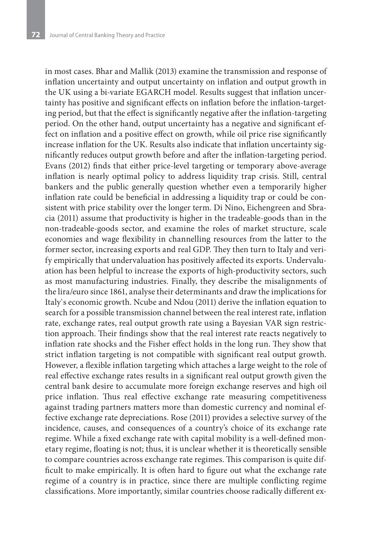in most cases. Bhar and Mallik (2013) examine the transmission and response of inflation uncertainty and output uncertainty on inflation and output growth in the UK using a bi-variate EGARCH model. Results suggest that inflation uncertainty has positive and significant effects on inflation before the inflation-targeting period, but that the effect is significantly negative after the inflation-targeting period. On the other hand, output uncertainty has a negative and significant effect on inflation and a positive effect on growth, while oil price rise significantly increase inflation for the UK. Results also indicate that inflation uncertainty significantly reduces output growth before and after the inflation-targeting period. Evans (2012) finds that either price‐level targeting or temporary above‐average inflation is nearly optimal policy to address liquidity trap crisis. Still, central bankers and the public generally question whether even a temporarily higher inflation rate could be beneficial in addressing a liquidity trap or could be consistent with price stability over the longer term. Di Nino, Eichengreen and Sbracia (2011) assume that productivity is higher in the tradeable-goods than in the non-tradeable-goods sector, and examine the roles of market structure, scale economies and wage flexibility in channelling resources from the latter to the former sector, increasing exports and real GDP. They then turn to Italy and verify empirically that undervaluation has positively affected its exports. Undervaluation has been helpful to increase the exports of high-productivity sectors, such as most manufacturing industries. Finally, they describe the misalignments of the lira/euro since 1861, analyse their determinants and draw the implications for Italy`s economic growth. Ncube and Ndou (2011) derive the inflation equation to search for a possible transmission channel between the real interest rate, inflation rate, exchange rates, real output growth rate using a Bayesian VAR sign restriction approach. Their findings show that the real interest rate reacts negatively to inflation rate shocks and the Fisher effect holds in the long run. They show that strict inflation targeting is not compatible with significant real output growth. However, a flexible inflation targeting which attaches a large weight to the role of real effective exchange rates results in a significant real output growth given the central bank desire to accumulate more foreign exchange reserves and high oil price inflation. Thus real effective exchange rate measuring competitiveness against trading partners matters more than domestic currency and nominal effective exchange rate depreciations. Rose (2011) provides a selective survey of the incidence, causes, and consequences of a country's choice of its exchange rate regime. While a fixed exchange rate with capital mobility is a well-defined monetary regime, floating is not; thus, it is unclear whether it is theoretically sensible to compare countries across exchange rate regimes. This comparison is quite difficult to make empirically. It is often hard to figure out what the exchange rate regime of a country is in practice, since there are multiple conflicting regime classifications. More importantly, similar countries choose radically different ex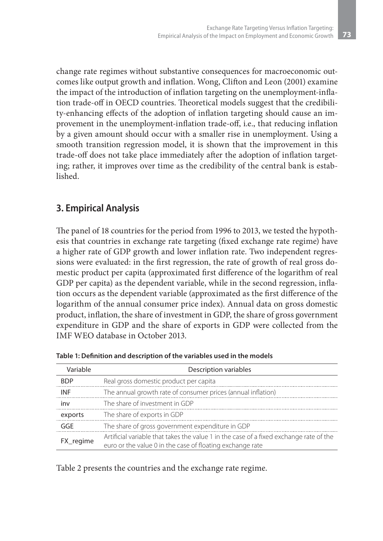change rate regimes without substantive consequences for macroeconomic outcomes like output growth and inflation. Wong, Clifton and Leon (2001) examine the impact of the introduction of inflation targeting on the unemployment-inflation trade-off in OECD countries. Theoretical models suggest that the credibility-enhancing effects of the adoption of inflation targeting should cause an improvement in the unemployment-inflation trade-off, i.e., that reducing inflation by a given amount should occur with a smaller rise in unemployment. Using a smooth transition regression model, it is shown that the improvement in this trade-off does not take place immediately after the adoption of inflation targeting; rather, it improves over time as the credibility of the central bank is established.

## **3. Empirical Analysis**

The panel of 18 countries for the period from 1996 to 2013, we tested the hypothesis that countries in exchange rate targeting (fixed exchange rate regime) have a higher rate of GDP growth and lower inflation rate. Two independent regressions were evaluated: in the first regression, the rate of growth of real gross domestic product per capita (approximated first difference of the logarithm of real GDP per capita) as the dependent variable, while in the second regression, inflation occurs as the dependent variable (approximated as the first difference of the logarithm of the annual consumer price index). Annual data on gross domestic product, inflation, the share of investment in GDP, the share of gross government expenditure in GDP and the share of exports in GDP were collected from the IMF WEO database in October 2013.

| Variable   | Description variables                                                                                                                               |
|------------|-----------------------------------------------------------------------------------------------------------------------------------------------------|
| <b>BDP</b> | Real gross domestic product per capita                                                                                                              |
| <b>INF</b> | The annual growth rate of consumer prices (annual inflation)                                                                                        |
| inv        | The share of investment in GDP                                                                                                                      |
| exports    | The share of exports in GDP                                                                                                                         |
| GGE        | The share of gross government expenditure in GDP                                                                                                    |
| FX_regime  | Artificial variable that takes the value 1 in the case of a fixed exchange rate of the<br>euro or the value 0 in the case of floating exchange rate |

**Table 1: Definition and description of the variables used in the models**

Table 2 presents the countries and the exchange rate regime.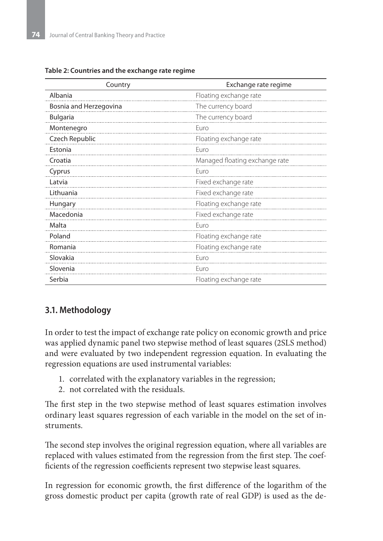| Country                | Exchange rate regime           |  |  |
|------------------------|--------------------------------|--|--|
| Albania                | Floating exchange rate         |  |  |
| Bosnia and Herzegovina | The currency board             |  |  |
| <b>Bulgaria</b>        | The currency board             |  |  |
| Montenegro             | Euro                           |  |  |
| Czech Republic         | Floating exchange rate         |  |  |
| Estonia                | Euro                           |  |  |
| Croatia                | Managed floating exchange rate |  |  |
| Cyprus                 | Euro                           |  |  |
| Latvia                 | Fixed exchange rate            |  |  |
| Lithuania              | Fixed exchange rate            |  |  |
| Hungary                | Floating exchange rate         |  |  |
| Macedonia              | Fixed exchange rate            |  |  |
| Malta                  | Euro                           |  |  |
| Poland                 | Floating exchange rate         |  |  |
| Romania                | Floating exchange rate         |  |  |
| Slovakia               | Furo                           |  |  |
| Slovenia               | Euro                           |  |  |
| Serbia                 | Floating exchange rate         |  |  |

**Table 2: Countries and the exchange rate regime**

#### **3.1. Methodology**

In order to test the impact of exchange rate policy on economic growth and price was applied dynamic panel two stepwise method of least squares (2SLS method) and were evaluated by two independent regression equation. In evaluating the regression equations are used instrumental variables:

- 1. correlated with the explanatory variables in the regression;
- 2. not correlated with the residuals.

The first step in the two stepwise method of least squares estimation involves ordinary least squares regression of each variable in the model on the set of instruments.

The second step involves the original regression equation, where all variables are replaced with values estimated from the regression from the first step. The coefficients of the regression coefficients represent two stepwise least squares.

In regression for economic growth, the first difference of the logarithm of the gross domestic product per capita (growth rate of real GDP) is used as the de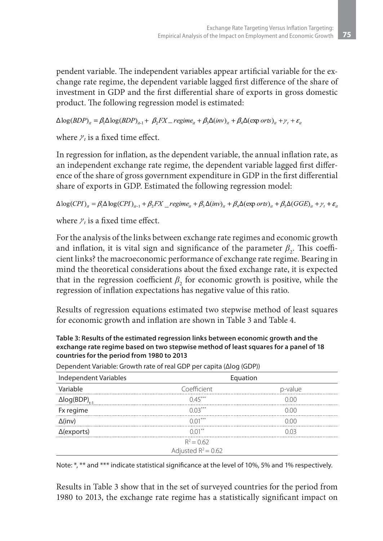pendent variable. The independent variables appear artificial variable for the exchange rate regime, the dependent variable lagged first difference of the share of investment in GDP and the first differential share of exports in gross domestic product. The following regression model is estimated:

 $\Delta \log(BDP)_{ii} = \beta \Delta \log(BDP)_{ii} + \beta_i FX = regime_{ii} + \beta_i \Delta (inv)_{ii} + \beta_i \Delta (\exp orts)_{ii} + \gamma_i + \varepsilon_{ii}$ 

where  $\gamma$  is a fixed time effect.

In regression for inflation, as the dependent variable, the annual inflation rate, as an independent exchange rate regime, the dependent variable lagged first difference of the share of gross government expenditure in GDP in the first differential share of exports in GDP. Estimated the following regression model:

 $\Delta \log(CPI)_{ii} = \beta_1 \Delta \log(CPI)_{ii-1} + \beta_2 FX$  regime<sub>it</sub>  $\beta_3 \Delta(inv)_{ii} + \beta_4 \Delta(\exp orts)_{ii} + \beta_5 \Delta(GGE)_{ii} + \gamma_t + \varepsilon_{ii}$ 

where  $\nu$ , is a fixed time effect.

For the analysis of the links between exchange rate regimes and economic growth and inflation, it is vital sign and significance of the parameter  $\beta$ <sub>2</sub>. This coefficient links? the macroeconomic performance of exchange rate regime. Bearing in mind the theoretical considerations about the fixed exchange rate, it is expected that in the regression coefficient  $\beta_2$  for economic growth is positive, while the regression of inflation expectations has negative value of this ratio.

Results of regression equations estimated two stepwise method of least squares for economic growth and inflation are shown in Table 3 and Table 4.

**Table 3: Results of the estimated regression links between economic growth and the exchange rate regime based on two stepwise method of least squares for a panel of 18 countries for the period from 1980 to 2013**

| Independent Variables            | Equation              |         |  |
|----------------------------------|-----------------------|---------|--|
| Variable                         | Coefficient           | p-value |  |
| $\Delta$ log(BDP) <sub>t-1</sub> | $0.45***$             | n nn    |  |
| Fx regime                        | $0.03***$             | 0.00    |  |
| $\Delta$ (inv)                   | $0.01***$             | N 00    |  |
| $\Delta$ (exports)               | $0.01***$             | N U 3   |  |
|                                  | $R^2 = 0.62$          |         |  |
|                                  | Adjusted $R^2$ = 0.62 |         |  |

Dependent Variable: Growth rate of real GDP per capita (Δlog (GDP))

Note: \*, \*\* and \*\*\* indicate statistical significance at the level of 10%, 5% and 1% respectively.

Results in Table 3 show that in the set of surveyed countries for the period from 1980 to 2013, the exchange rate regime has a statistically significant impact on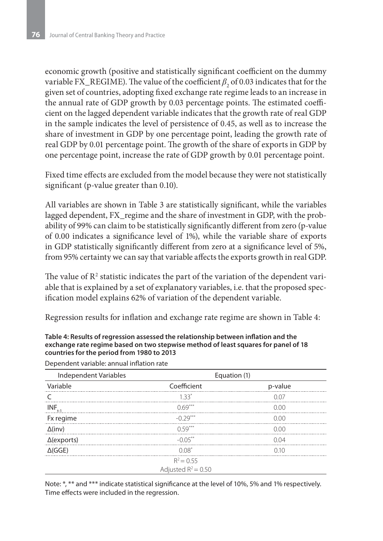economic growth (positive and statistically significant coefficient on the dummy variable FX\_REGIME). The value of the coefficient  $\beta_{2}$  of 0.03 indicates that for the given set of countries, adopting fixed exchange rate regime leads to an increase in the annual rate of GDP growth by 0.03 percentage points. The estimated coefficient on the lagged dependent variable indicates that the growth rate of real GDP in the sample indicates the level of persistence of 0.45, as well as to increase the share of investment in GDP by one percentage point, leading the growth rate of real GDP by 0.01 percentage point. The growth of the share of exports in GDP by one percentage point, increase the rate of GDP growth by 0.01 percentage point.

Fixed time effects are excluded from the model because they were not statistically significant (p-value greater than 0.10).

All variables are shown in Table 3 are statistically significant, while the variables lagged dependent, FX\_regime and the share of investment in GDP, with the probability of 99% can claim to be statistically significantly different from zero (p-value of 0.00 indicates a significance level of 1%), while the variable share of exports in GDP statistically significantly different from zero at a significance level of 5%, from 95% certainty we can say that variable affects the exports growth in real GDP.

The value of  $\mathbb{R}^2$  statistic indicates the part of the variation of the dependent variable that is explained by a set of explanatory variables, i.e. that the proposed specification model explains 62% of variation of the dependent variable.

Regression results for inflation and exchange rate regime are shown in Table 4:

#### **Table 4: Results of regression assessed the relationship between inflation and the exchange rate regime based on two stepwise method of least squares for panel of 18 countries for the period from 1980 to 2013**

| Independent Variables | Equation (1)                          |         |
|-----------------------|---------------------------------------|---------|
| Variable              | Coefficient                           | p-value |
|                       | $1.33*$                               | 0.07    |
| $INF_{t-1}$           | $0.69***$                             | 0.00    |
| Fx regime             | $-0.29***$                            | 0.00    |
| $\Delta$ (inv)        | $0.59***$                             | 0.00    |
| $\Delta$ (exports)    | $-0.05***$                            | 0.04    |
| $\Delta(GGE)$         | $0.08*$                               | 010     |
|                       | $R^2 = 0.55$<br>Adjusted $R^2$ = 0.50 |         |

Dependent variable: annual inflation rate

Note: \*, \*\* and \*\*\* indicate statistical significance at the level of 10%, 5% and 1% respectively. Time effects were included in the regression.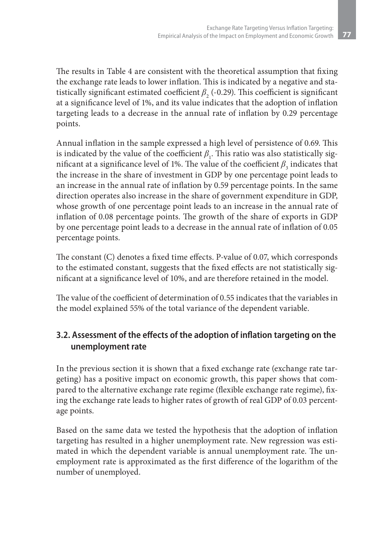The results in Table 4 are consistent with the theoretical assumption that fixing the exchange rate leads to lower inflation. This is indicated by a negative and statistically significant estimated coefficient  $\beta_2$  (-0.29). This coefficient is significant at a significance level of 1%, and its value indicates that the adoption of inflation targeting leads to a decrease in the annual rate of inflation by 0.29 percentage points.

Annual inflation in the sample expressed a high level of persistence of 0.69. This is indicated by the value of the coefficient  $\beta_1$ . This ratio was also statistically significant at a significance level of 1%. The value of the coefficient  $\beta_3$  indicates that the increase in the share of investment in GDP by one percentage point leads to an increase in the annual rate of inflation by 0.59 percentage points. In the same direction operates also increase in the share of government expenditure in GDP, whose growth of one percentage point leads to an increase in the annual rate of inflation of 0.08 percentage points. The growth of the share of exports in GDP by one percentage point leads to a decrease in the annual rate of inflation of 0.05 percentage points.

The constant (C) denotes a fixed time effects. P-value of 0.07, which corresponds to the estimated constant, suggests that the fixed effects are not statistically significant at a significance level of 10%, and are therefore retained in the model.

The value of the coefficient of determination of 0.55 indicates that the variables in the model explained 55% of the total variance of the dependent variable.

#### **3.2. Assessment of the effects of the adoption of inflation targeting on the unemployment rate**

In the previous section it is shown that a fixed exchange rate (exchange rate targeting) has a positive impact on economic growth, this paper shows that compared to the alternative exchange rate regime (flexible exchange rate regime), fixing the exchange rate leads to higher rates of growth of real GDP of 0.03 percentage points.

Based on the same data we tested the hypothesis that the adoption of inflation targeting has resulted in a higher unemployment rate. New regression was estimated in which the dependent variable is annual unemployment rate. The unemployment rate is approximated as the first difference of the logarithm of the number of unemployed.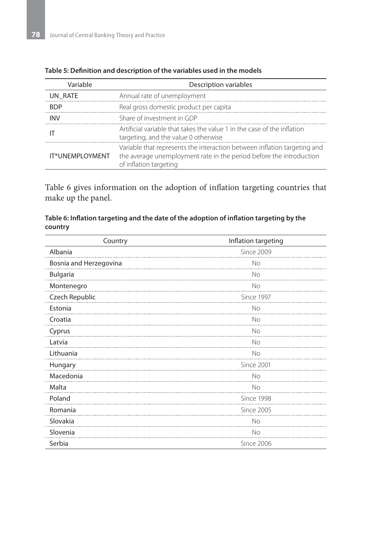| Variable        | Description variables                                                                                                                                                     |  |  |
|-----------------|---------------------------------------------------------------------------------------------------------------------------------------------------------------------------|--|--|
| UN RATE         | Annual rate of unemployment                                                                                                                                               |  |  |
| <b>BDP</b>      | Real gross domestic product per capita                                                                                                                                    |  |  |
| <b>INV</b>      | Share of investment in GDP                                                                                                                                                |  |  |
|                 | Artificial variable that takes the value 1 in the case of the inflation<br>targeting, and the value 0 otherwise                                                           |  |  |
| IT*UNEMPLOYMENT | Variable that represents the interaction between inflation targeting and<br>the average unemployment rate in the period before the introduction<br>of inflation targeting |  |  |

#### **Table 5: Definition and description of the variables used in the models**

Table 6 gives information on the adoption of inflation targeting countries that make up the panel.

| Table 6: Inflation targeting and the date of the adoption of inflation targeting by the |  |
|-----------------------------------------------------------------------------------------|--|
| country                                                                                 |  |

| Country                | Inflation targeting |
|------------------------|---------------------|
| Albania                | Since 2009          |
| Bosnia and Herzegovina | No                  |
| Bulgaria               | No                  |
| Montenegro             | No                  |
| Czech Republic         | Since 1997          |
| Estonia                | No                  |
| Croatia                | No                  |
| Cyprus                 | No                  |
| Latvia                 | No                  |
| Lithuania              | <b>No</b>           |
| Hungary                | Since 2001          |
| Macedonia              | No                  |
| Malta                  | No                  |
| Poland                 | Since 1998          |
| Romania                | <b>Since 2005</b>   |
| Slovakia               | No                  |
| Slovenia               | No                  |
| Serbia                 | Since 2006          |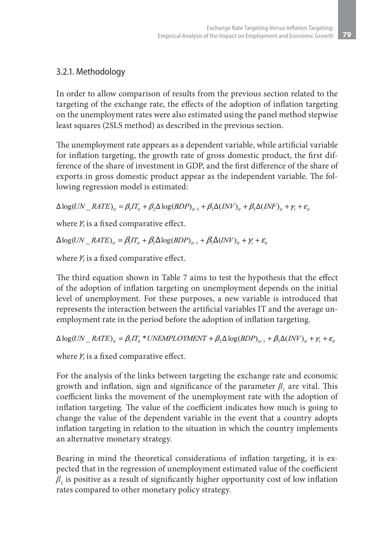#### 3.2.1. Methodology

In order to allow comparison of results from the previous section related to the targeting of the exchange rate, the effects of the adoption of inflation targeting on the unemployment rates were also estimated using the panel method stepwise least squares (2SLS method) as described in the previous section.

The unemployment rate appears as a dependent variable, while artificial variable for inflation targeting, the growth rate of gross domestic product, the first difference of the share of investment in GDP, and the first difference of the share of exports in gross domestic product appear as the independent variable. The following regression model is estimated:

 $\Delta \log (UN\_RATE)_{ii} = \beta_1 IT_{ii} + \beta_2 \Delta \log (BDP)_{ii-1} + \beta_3 \Delta (INV)_{ii} + \beta_5 \Delta (INF)_{ii} + Y_i + \varepsilon_{ii}$ 

where  $Y_i$  is a fixed comparative effect.

 $\Delta \log (UN\_RATE)_{it} = \beta_l IT_{it} + \beta_2 \Delta \log (BDP)_{it-1} + \beta_3 \Delta (INV)_{it} + Y_i + \varepsilon_{it}$ 

where  $Y_i$  is a fixed comparative effect.

The third equation shown in Table 7 aims to test the hypothesis that the effect of the adoption of inflation targeting on unemployment depends on the initial level of unemployment. For these purposes, a new variable is introduced that represents the interaction between the artificial variables IT and the average unemployment rate in the period before the adoption of inflation targeting.

 $\Delta \log (UN\_RATE)_{it} = \beta_1 IT_{it} * UNEMPLOYMENT + \beta_2 \Delta \log (BDP)_{it-1} + \beta_3 \Delta (INV)_{it} + \gamma_i + \varepsilon_{it}$ 

where  $Y_i$  is a fixed comparative effect.

For the analysis of the links between targeting the exchange rate and economic growth and inflation, sign and significance of the parameter  $\beta_{_1}$  are vital. This coefficient links the movement of the unemployment rate with the adoption of inflation targeting. The value of the coefficient indicates how much is going to change the value of the dependent variable in the event that a country adopts inflation targeting in relation to the situation in which the country implements an alternative monetary strategy.

Bearing in mind the theoretical considerations of inflation targeting, it is expected that in the regression of unemployment estimated value of the coefficient  $\beta_{1}$  is positive as a result of significantly higher opportunity cost of low inflation rates compared to other monetary policy strategy.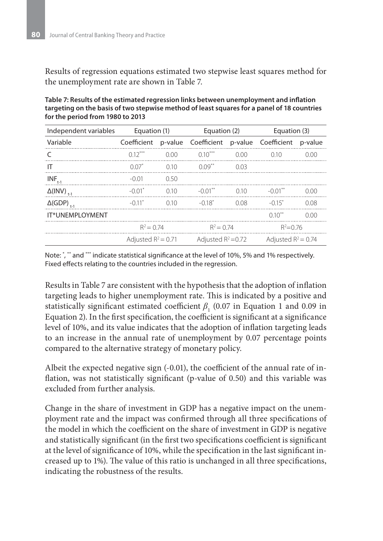Results of regression equations estimated two stepwise least squares method for the unemployment rate are shown in Table 7.

| Independent variables         | Equation (1)         |                       | Equation (2)                            |                       | Equation (3)          |         |
|-------------------------------|----------------------|-----------------------|-----------------------------------------|-----------------------|-----------------------|---------|
| Variable                      | Coefficient          |                       | p-value Coefficient p-value Coefficient |                       |                       | p-value |
|                               | $0.12***$            | 0.00                  | $0.10***$                               | 0.00                  | 0.10                  | 0.00    |
| IT                            | $0.07*$              | 010                   | $0.09***$                               | 0.03                  |                       |         |
| $INF_{t-1}$                   | $-0.01$              | 0.50                  |                                         |                       |                       |         |
| $\Delta$ (INV) <sub>t-1</sub> | $-0.01$ <sup>*</sup> | 0.10                  | $-0.01***$                              | 0.10                  | $-0.01$ <sup>**</sup> | 0.00    |
| $\Delta$ (GDP) <sub>t-1</sub> | $-0.11$ <sup>*</sup> | 010                   | $-0.18$ <sup>*</sup>                    | 0.08                  | $-0.15$ <sup>*</sup>  | 0.08    |
| IT*UNEMPLOYMENT               |                      |                       |                                         |                       | $0.10***$             | 0.00    |
|                               | $R^2 = 0.74$         |                       | $R^2 = 0.74$                            |                       | $R^2 = 0.76$          |         |
| Adjusted $R^2$ = 0.71         |                      | Adjusted $R^2 = 0.72$ |                                         | Adjusted $R^2 = 0.74$ |                       |         |

**Table 7: Results of the estimated regression links between unemployment and inflation targeting on the basis of two stepwise method of least squares for a panel of 18 countries for the period from 1980 to 2013**

Note: \* , \*\* and \*\*\* indicate statistical significance at the level of 10%, 5% and 1% respectively. Fixed effects relating to the countries included in the regression.

Results in Table 7 are consistent with the hypothesis that the adoption of inflation targeting leads to higher unemployment rate. This is indicated by a positive and statistically significant estimated coefficient  $\beta_1$  (0.07 in Equation 1 and 0.09 in Equation 2). In the first specification, the coefficient is significant at a significance level of 10%, and its value indicates that the adoption of inflation targeting leads to an increase in the annual rate of unemployment by 0.07 percentage points compared to the alternative strategy of monetary policy.

Albeit the expected negative sign (-0.01), the coefficient of the annual rate of inflation, was not statistically significant (p-value of 0.50) and this variable was excluded from further analysis.

Change in the share of investment in GDP has a negative impact on the unemployment rate and the impact was confirmed through all three specifications of the model in which the coefficient on the share of investment in GDP is negative and statistically significant (in the first two specifications coefficient is significant at the level of significance of 10%, while the specification in the last significant increased up to 1%). The value of this ratio is unchanged in all three specifications, indicating the robustness of the results.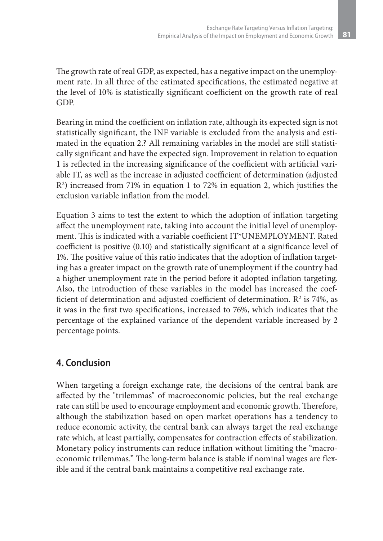The growth rate of real GDP, as expected, has a negative impact on the unemployment rate. In all three of the estimated specifications, the estimated negative at the level of 10% is statistically significant coefficient on the growth rate of real GDP.

Bearing in mind the coefficient on inflation rate, although its expected sign is not statistically significant, the INF variable is excluded from the analysis and estimated in the equation 2.? All remaining variables in the model are still statistically significant and have the expected sign. Improvement in relation to equation 1 is reflected in the increasing significance of the coefficient with artificial variable IT, as well as the increase in adjusted coefficient of determination (adjusted R2 ) increased from 71% in equation 1 to 72% in equation 2, which justifies the exclusion variable inflation from the model.

Equation 3 aims to test the extent to which the adoption of inflation targeting affect the unemployment rate, taking into account the initial level of unemployment. This is indicated with a variable coefficient IT\*UNEMPLOYMENT. Rated coefficient is positive (0.10) and statistically significant at a significance level of 1%. The positive value of this ratio indicates that the adoption of inflation targeting has a greater impact on the growth rate of unemployment if the country had a higher unemployment rate in the period before it adopted inflation targeting. Also, the introduction of these variables in the model has increased the coefficient of determination and adjusted coefficient of determination.  $\mathbb{R}^2$  is 74%, as it was in the first two specifications, increased to 76%, which indicates that the percentage of the explained variance of the dependent variable increased by 2 percentage points.

#### **4. Conclusion**

When targeting a foreign exchange rate, the decisions of the central bank are affected by the "trilemmas" of macroeconomic policies, but the real exchange rate can still be used to encourage employment and economic growth. Therefore, although the stabilization based on open market operations has a tendency to reduce economic activity, the central bank can always target the real exchange rate which, at least partially, compensates for contraction effects of stabilization. Monetary policy instruments can reduce inflation without limiting the "macroeconomic trilemmas." The long-term balance is stable if nominal wages are flexible and if the central bank maintains a competitive real exchange rate.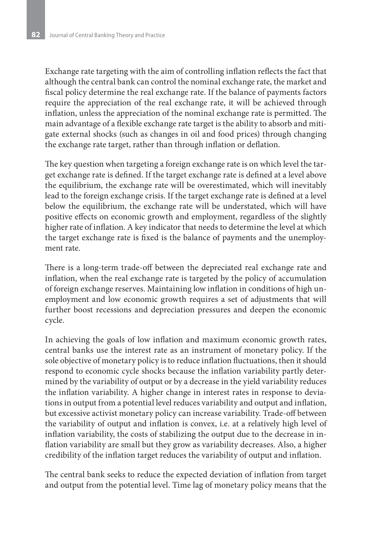Exchange rate targeting with the aim of controlling inflation reflects the fact that although the central bank can control the nominal exchange rate, the market and fiscal policy determine the real exchange rate. If the balance of payments factors require the appreciation of the real exchange rate, it will be achieved through inflation, unless the appreciation of the nominal exchange rate is permitted. The main advantage of a flexible exchange rate target is the ability to absorb and mitigate external shocks (such as changes in oil and food prices) through changing the exchange rate target, rather than through inflation or deflation.

The key question when targeting a foreign exchange rate is on which level the target exchange rate is defined. If the target exchange rate is defined at a level above the equilibrium, the exchange rate will be overestimated, which will inevitably lead to the foreign exchange crisis. If the target exchange rate is defined at a level below the equilibrium, the exchange rate will be understated, which will have positive effects on economic growth and employment, regardless of the slightly higher rate of inflation. A key indicator that needs to determine the level at which the target exchange rate is fixed is the balance of payments and the unemployment rate.

There is a long-term trade-off between the depreciated real exchange rate and inflation, when the real exchange rate is targeted by the policy of accumulation of foreign exchange reserves. Maintaining low inflation in conditions of high unemployment and low economic growth requires a set of adjustments that will further boost recessions and depreciation pressures and deepen the economic cycle.

In achieving the goals of low inflation and maximum economic growth rates, central banks use the interest rate as an instrument of monetary policy. If the sole objective of monetary policy is to reduce inflation fluctuations, then it should respond to economic cycle shocks because the inflation variability partly determined by the variability of output or by a decrease in the yield variability reduces the inflation variability. A higher change in interest rates in response to deviations in output from a potential level reduces variability and output and inflation, but excessive activist monetary policy can increase variability. Trade-off between the variability of output and inflation is convex, i.e. at a relatively high level of inflation variability, the costs of stabilizing the output due to the decrease in inflation variability are small but they grow as variability decreases. Also, a higher credibility of the inflation target reduces the variability of output and inflation.

The central bank seeks to reduce the expected deviation of inflation from target and output from the potential level. Time lag of monetary policy means that the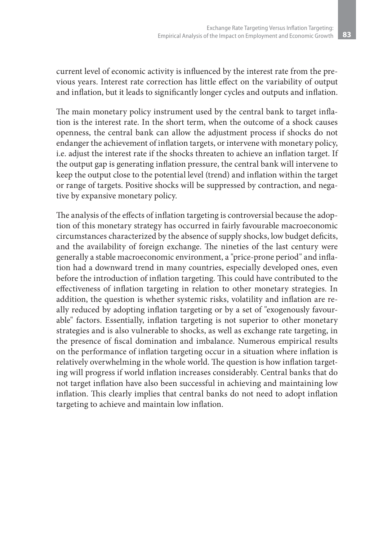current level of economic activity is influenced by the interest rate from the previous years. Interest rate correction has little effect on the variability of output and inflation, but it leads to significantly longer cycles and outputs and inflation.

The main monetary policy instrument used by the central bank to target inflation is the interest rate. In the short term, when the outcome of a shock causes openness, the central bank can allow the adjustment process if shocks do not endanger the achievement of inflation targets, or intervene with monetary policy, i.e. adjust the interest rate if the shocks threaten to achieve an inflation target. If the output gap is generating inflation pressure, the central bank will intervene to keep the output close to the potential level (trend) and inflation within the target or range of targets. Positive shocks will be suppressed by contraction, and negative by expansive monetary policy.

The analysis of the effects of inflation targeting is controversial because the adoption of this monetary strategy has occurred in fairly favourable macroeconomic circumstances characterized by the absence of supply shocks, low budget deficits, and the availability of foreign exchange. The nineties of the last century were generally a stable macroeconomic environment, a "price-prone period" and inflation had a downward trend in many countries, especially developed ones, even before the introduction of inflation targeting. This could have contributed to the effectiveness of inflation targeting in relation to other monetary strategies. In addition, the question is whether systemic risks, volatility and inflation are really reduced by adopting inflation targeting or by a set of "exogenously favourable" factors. Essentially, inflation targeting is not superior to other monetary strategies and is also vulnerable to shocks, as well as exchange rate targeting, in the presence of fiscal domination and imbalance. Numerous empirical results on the performance of inflation targeting occur in a situation where inflation is relatively overwhelming in the whole world. The question is how inflation targeting will progress if world inflation increases considerably. Central banks that do not target inflation have also been successful in achieving and maintaining low inflation. This clearly implies that central banks do not need to adopt inflation targeting to achieve and maintain low inflation.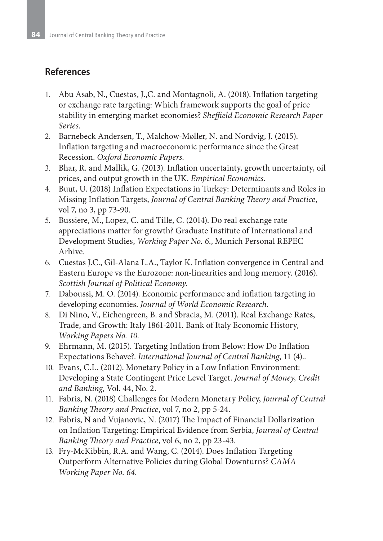#### **References**

- 1. Abu Asab, N., Cuestas, J.,C. and Montagnoli, A. (2018). Inflation targeting or exchange rate targeting: Which framework supports the goal of price stability in emerging market economies? *Sheffield Economic Research Paper Series*.
- 2. Barnebeck Andersen, T., Malchow-Møller, N. and Nordvig, J. (2015). Inflation targeting and macroeconomic performance since the Great Recession. *Oxford Economic Papers*.
- 3. Bhar, R. and Mallik, G. (2013). Inflation uncertainty, growth uncertainty, oil prices, and output growth in the UK. *Empirical Economics*.
- 4. Buut, U. (2018) Inflation Expectations in Turkey: Determinants and Roles in Missing Inflation Targets, *Journal of Central Banking Theory and Practice*, vol 7, no 3, pp 73-90.
- 5. Bussiere, M., Lopez, C. and Tille, C. (2014). Do real exchange rate appreciations matter for growth? Graduate Institute of International and Development Studies, *Working Paper No. 6*., Munich Personal REPEC Arhive.
- 6. Cuestas J.C., Gil-Alana L.A., Taylor K. Inflation convergence in Central and Eastern Europe vs the Eurozone: non-linearities and long memory. (2016). *Scottish Journal of Political Economy*.
- 7. Daboussi, M. O. (2014). Economic performance and inflation targeting in developing economies. *Journal of World Economic Research*.
- 8. Di Nino, V., Eichengreen, B. and Sbracia, M. (2011). Real Exchange Rates, Trade, and Growth: Italy 1861-2011. Bank of Italy Economic History, *Working Papers No. 10*.
- 9. Ehrmann, M. (2015). Targeting Inflation from Below: How Do Inflation Expectations Behave?. *International Journal of Central Banking*, 11 (4)..
- 10. Evans, C.L. (2012). Monetary Policy in a Low Inflation Environment: Developing a State Contingent Price Level Target. *Journal of Money, Credit and Banking*, Vol. 44, No. 2.
- 11. Fabris, N. (2018) Challenges for Modern Monetary Policy, *Journal of Central Banking Theory and Practice*, vol 7, no 2, pp 5-24.
- 12. Fabris, N and Vujanovic, N. (2017) The Impact of Financial Dollarization on Inflation Targeting: Empirical Evidence from Serbia, *Journal of Central Banking Theory and Practice*, vol 6, no 2, pp 23-43.
- 13. Fry-McKibbin, R.A. and Wang, C. (2014). Does Inflation Targeting Outperform Alternative Policies during Global Downturns? *CAMA Working Paper No. 64*.